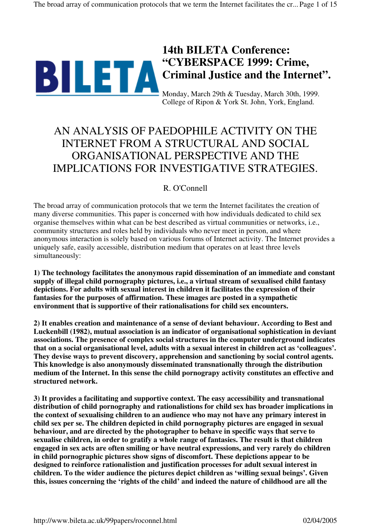

# **14th BILETA Conference: "CYBERSPACE 1999: Crime, Criminal Justice and the Internet".**

Monday, March 29th & Tuesday, March 30th, 1999. College of Ripon & York St. John, York, England.

# AN ANALYSIS OF PAEDOPHILE ACTIVITY ON THE INTERNET FROM A STRUCTURAL AND SOCIAL ORGANISATIONAL PERSPECTIVE AND THE IMPLICATIONS FOR INVESTIGATIVE STRATEGIES.

## R. O'Connell

The broad array of communication protocols that we term the Internet facilitates the creation of many diverse communities. This paper is concerned with how individuals dedicated to child sex organise themselves within what can be best described as virtual communities or networks, i.e., community structures and roles held by individuals who never meet in person, and where anonymous interaction is solely based on various forums of Internet activity. The Internet provides a uniquely safe, easily accessible, distribution medium that operates on at least three levels simultaneously:

**1) The technology facilitates the anonymous rapid dissemination of an immediate and constant supply of illegal child pornography pictures, i.e., a virtual stream of sexualised child fantasy depictions. For adults with sexual interest in children it facilitates the expression of their fantasies for the purposes of affirmation. These images are posted in a sympathetic environment that is supportive of their rationalisations for child sex encounters.**

**2) It enables creation and maintenance of a sense of deviant behaviour. According to Best and Luckenbill (1982), mutual association is an indicator of organisational sophistication in deviant associations. The presence of complex social structures in the computer underground indicates that on a social organisational level, adults with a sexual interest in children act as 'colleagues'. They devise ways to prevent discovery, apprehension and sanctioning by social control agents. This knowledge is also anonymously disseminated transnationally through the distribution medium of the Internet. In this sense the child pornograpy activity constitutes an effective and structured network.**

**3) It provides a facilitating and supportive context. The easy accessibility and transnational distribution of child pornography and rationalistions for child sex has broader implications in the context of sexualising children to an audience who may not have any primary interest in child sex per se. The children depicted in child pornography pictures are engaged in sexual behaviour, and are directed by the photographer to behave in specific ways that serve to sexualise children, in order to gratify a whole range of fantasies. The result is that children engaged in sex acts are often smiling or have neutral expressions, and very rarely do children in child pornographic pictures show signs of discomfort. These depictions appear to be designed to reinforce rationalistion and justification processes for adult sexual interest in children. To the wider audience the pictures depict children as 'willing sexual beings'. Given this, issues concerning the 'rights of the child' and indeed the nature of childhood are all the**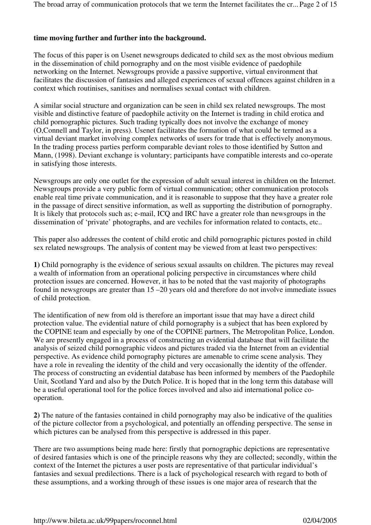## **time moving further and further into the background.**

The focus of this paper is on Usenet newsgroups dedicated to child sex as the most obvious medium in the dissemination of child pornography and on the most visible evidence of paedophile networking on the Internet. Newsgroups provide a passive supportive, virtual environment that facilitates the discussion of fantasies and alleged experiences of sexual offences against children in a context which routinises, sanitises and normalises sexual contact with children.

A similar social structure and organization can be seen in child sex related newsgroups. The most visible and distinctive feature of paedophile activity on the Internet is trading in child erotica and child pornographic pictures. Such trading typically does not involve the exchange of money (O,Connell and Taylor, in press). Usenet facilitates the formation of what could be termed as a virtual deviant market involving complex networks of users for trade that is effectively anonymous. In the trading process parties perform comparable deviant roles to those identified by Sutton and Mann, (1998). Deviant exchange is voluntary; participants have compatible interests and co-operate in satisfying those interests.

Newsgroups are only one outlet for the expression of adult sexual interest in children on the Internet. Newsgroups provide a very public form of virtual communication; other communication protocols enable real time private communication, and it is reasonable to suppose that they have a greater role in the passage of direct sensitive information, as well as supporting the distribution of pornography. It is likely that protocols such as; e-mail, ICQ and IRC have a greater role than newsgroups in the dissemination of 'private' photographs, and are vechiles for information related to contacts, etc..

This paper also addresses the content of child erotic and child pornographic pictures posted in child sex related newsgroups. The analysis of content may be viewed from at least two perspectives:

**1)** Child pornography is the evidence of serious sexual assaults on children. The pictures may reveal a wealth of information from an operational policing perspective in circumstances where child protection issues are concerned. However, it has to be noted that the vast majority of photographs found in newsgroups are greater than 15 –20 years old and therefore do not involve immediate issues of child protection.

The identification of new from old is therefore an important issue that may have a direct child protection value. The evidential nature of child pornography is a subject that has been explored by the COPINE team and especially by one of the COPINE partners, The Metropolitan Police, London. We are presently engaged in a process of constructing an evidential database that will facilitate the analysis of seized child pornographic videos and pictures traded via the Internet from an evidential perspective. As evidence child pornography pictures are amenable to crime scene analysis. They have a role in revealing the identity of the child and very occasionally the identity of the offender. The process of constructing an evidential database has been informed by members of the Paedophile Unit, Scotland Yard and also by the Dutch Police. It is hoped that in the long term this database will be a useful operational tool for the police forces involved and also aid international police cooperation.

**2)** The nature of the fantasies contained in child pornography may also be indicative of the qualities of the picture collector from a psychological, and potentially an offending perspective. The sense in which pictures can be analysed from this perspective is addressed in this paper.

There are two assumptions being made here: firstly that pornographic depictions are representative of desired fantasies which is one of the principle reasons why they are collected; secondly, within the context of the Internet the pictures a user posts are representative of that particular individual's fantasies and sexual predilections. There is a lack of psychological research with regard to both of these assumptions, and a working through of these issues is one major area of research that the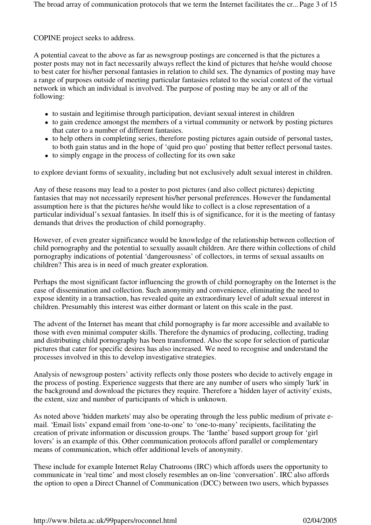## COPINE project seeks to address.

A potential caveat to the above as far as newsgroup postings are concerned is that the pictures a poster posts may not in fact necessarily always reflect the kind of pictures that he/she would choose to best cater for his/her personal fantasies in relation to child sex. The dynamics of posting may have a range of purposes outside of meeting particular fantasies related to the social context of the virtual network in which an individual is involved. The purpose of posting may be any or all of the following:

- to sustain and legitimise through participation, deviant sexual interest in children
- to gain credence amongst the members of a virtual community or network by posting pictures that cater to a number of different fantasies.
- to help others in completing series, therefore posting pictures again outside of personal tastes, to both gain status and in the hope of 'quid pro quo' posting that better reflect personal tastes.
- to simply engage in the process of collecting for its own sake

to explore deviant forms of sexuality, including but not exclusively adult sexual interest in children.

Any of these reasons may lead to a poster to post pictures (and also collect pictures) depicting fantasies that may not necessarily represent his/her personal preferences. However the fundamental assumption here is that the pictures he/she would like to collect is a close representation of a particular individual's sexual fantasies. In itself this is of significance, for it is the meeting of fantasy demands that drives the production of child pornography.

However, of even greater significance would be knowledge of the relationship between collection of child pornography and the potential to sexually assault children. Are there within collections of child pornography indications of potential 'dangerousness' of collectors, in terms of sexual assaults on children? This area is in need of much greater exploration.

Perhaps the most significant factor influencing the growth of child pornography on the Internet is the ease of dissemination and collection. Such anonymity and convenience, eliminating the need to expose identity in a transaction, has revealed quite an extraordinary level of adult sexual interest in children. Presumably this interest was either dormant or latent on this scale in the past.

The advent of the Internet has meant that child pornography is far more accessible and available to those with even minimal computer skills. Therefore the dynamics of producing, collecting, trading and distributing child pornography has been transformed. Also the scope for selection of particular pictures that cater for specific desires has also increased. We need to recognise and understand the processes involved in this to develop investigative strategies.

Analysis of newsgroup posters' activity reflects only those posters who decide to actively engage in the process of posting. Experience suggests that there are any number of users who simply 'lurk' in the background and download the pictures they require. Therefore a 'hidden layer of activity' exists, the extent, size and number of participants of which is unknown.

As noted above 'hidden markets' may also be operating through the less public medium of private email. 'Email lists' expand email from 'one-to-one' to 'one-to-many' recipients, facilitating the creation of private information or discussion groups. The 'Ianthe' based support group for 'girl lovers' is an example of this. Other communication protocols afford parallel or complementary means of communication, which offer additional levels of anonymity.

These include for example Internet Relay Chatrooms (IRC) which affords users the opportunity to communicate in 'real time' and most closely resembles an on-line 'conversation'. IRC also affords the option to open a Direct Channel of Communication (DCC) between two users, which bypasses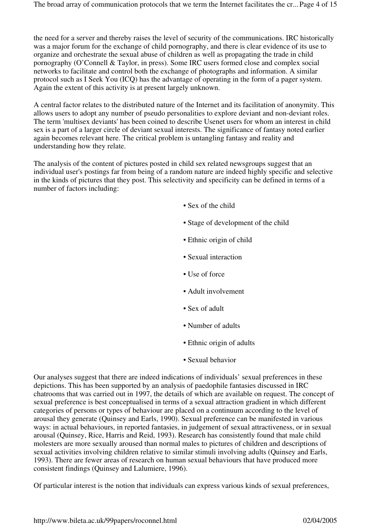the need for a server and thereby raises the level of security of the communications. IRC historically was a major forum for the exchange of child pornography, and there is clear evidence of its use to organize and orchestrate the sexual abuse of children as well as propagating the trade in child pornography (O'Connell & Taylor, in press). Some IRC users formed close and complex social networks to facilitate and control both the exchange of photographs and information. A similar protocol such as I Seek You (ICQ) has the advantage of operating in the form of a pager system. Again the extent of this activity is at present largely unknown.

A central factor relates to the distributed nature of the Internet and its facilitation of anonymity. This allows users to adopt any number of pseudo personalities to explore deviant and non-deviant roles. The term 'multisex deviants' has been coined to describe Usenet users for whom an interest in child sex is a part of a larger circle of deviant sexual interests. The significance of fantasy noted earlier again becomes relevant here. The critical problem is untangling fantasy and reality and understanding how they relate.

The analysis of the content of pictures posted in child sex related newsgroups suggest that an individual user's postings far from being of a random nature are indeed highly specific and selective in the kinds of pictures that they post. This selectivity and specificity can be defined in terms of a number of factors including:

- Sex of the child
- Stage of development of the child
- Ethnic origin of child
- Sexual interaction
- Use of force
- Adult involvement
- Sex of adult
- Number of adults
- Ethnic origin of adults
- Sexual behavior

Our analyses suggest that there are indeed indications of individuals' sexual preferences in these depictions. This has been supported by an analysis of paedophile fantasies discussed in IRC chatrooms that was carried out in 1997, the details of which are available on request. The concept of sexual preference is best conceptualised in terms of a sexual attraction gradient in which different categories of persons or types of behaviour are placed on a continuum according to the level of arousal they generate (Quinsey and Earls, 1990). Sexual preference can be manifested in various ways: in actual behaviours, in reported fantasies, in judgement of sexual attractiveness, or in sexual arousal (Quinsey, Rice, Harris and Reid, 1993). Research has consistently found that male child molesters are more sexually aroused than normal males to pictures of children and descriptions of sexual activities involving children relative to similar stimuli involving adults (Quinsey and Earls, 1993). There are fewer areas of research on human sexual behaviours that have produced more consistent findings (Quinsey and Lalumiere, 1996).

Of particular interest is the notion that individuals can express various kinds of sexual preferences,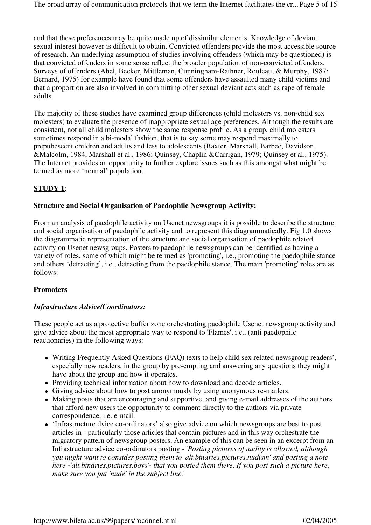and that these preferences may be quite made up of dissimilar elements. Knowledge of deviant sexual interest however is difficult to obtain. Convicted offenders provide the most accessible source of research. An underlying assumption of studies involving offenders (which may be questioned) is that convicted offenders in some sense reflect the broader population of non-convicted offenders. Surveys of offenders (Abel, Becker, Mittleman, Cunningham-Rathner, Rouleau, & Murphy, 1987: Bernard, 1975) for example have found that some offenders have assaulted many child victims and that a proportion are also involved in committing other sexual deviant acts such as rape of female adults.

The majority of these studies have examined group differences (child molesters vs. non-child sex molesters) to evaluate the presence of inappropriate sexual age preferences. Although the results are consistent, not all child molesters show the same response profile. As a group, child molesters sometimes respond in a bi-modal fashion, that is to say some may respond maximally to prepubescent children and adults and less to adolescents (Baxter, Marshall, Barbee, Davidson, &Malcolm, 1984, Marshall et al., 1986; Quinsey, Chaplin &Carrigan, 1979; Quinsey et al., 1975). The Internet provides an opportunity to further explore issues such as this amongst what might be termed as more 'normal' population.

## **STUDY 1**:

## **Structure and Social Organisation of Paedophile Newsgroup Activity:**

From an analysis of paedophile activity on Usenet newsgroups it is possible to describe the structure and social organisation of paedophile activity and to represent this diagrammatically. Fig 1.0 shows the diagrammatic representation of the structure and social organisation of paedophile related activity on Usenet newsgroups. Posters to paedophile newsgroups can be identified as having a variety of roles, some of which might be termed as 'promoting', i.e., promoting the paedophile stance and others 'detracting', i.e., detracting from the paedophile stance. The main 'promoting' roles are as follows:

## **Promoters**

#### *Infrastructure Advice/Coordinators:*

These people act as a protective buffer zone orchestrating paedophile Usenet newsgroup activity and give advice about the most appropriate way to respond to 'Flames', i.e., (anti paedophile reactionaries) in the following ways:

- Writing Frequently Asked Questions (FAQ) texts to help child sex related newsgroup readers', especially new readers, in the group by pre-empting and answering any questions they might have about the group and how it operates.
- Providing technical information about how to download and decode articles.
- Giving advice about how to post anonymously by using anonymous re-mailers.
- Making posts that are encouraging and supportive, and giving e-mail addresses of the authors that afford new users the opportunity to comment directly to the authors via private correspondence, i.e. e-mail.
- 'Infrastructure dvice co-ordinators' also give advice on which newsgroups are best to post articles in - particularly those articles that contain pictures and in this way orchestrate the migratory pattern of newsgroup posters. An example of this can be seen in an excerpt from an Infrastructure advice co-ordinators posting - '*Posting pictures of nudity is allowed, although you might want to consider posting them to 'alt.binaries.pictures.nudism' and posting a note here -'alt.binaries.pictures.boys'- that you posted them there. If you post such a picture here, make sure you put 'nude' in the subject line.*'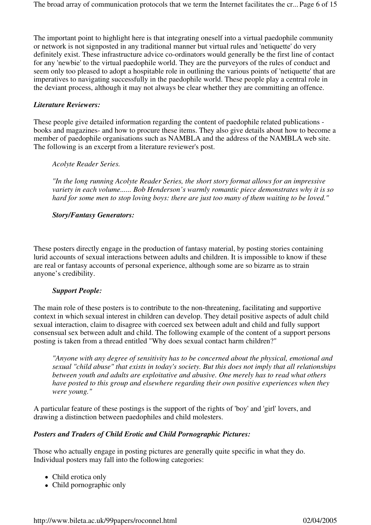The important point to highlight here is that integrating oneself into a virtual paedophile community or network is not signposted in any traditional manner but virtual rules and 'netiquette' do very definitely exist. These infrastructure advice co-ordinators would generally be the first line of contact for any 'newbie' to the virtual paedophile world. They are the purveyors of the rules of conduct and seem only too pleased to adopt a hospitable role in outlining the various points of 'netiquette' that are imperatives to navigating successfully in the paedophile world. These people play a central role in the deviant process, although it may not always be clear whether they are committing an offence.

#### *Literature Reviewers:*

These people give detailed information regarding the content of paedophile related publications books and magazines- and how to procure these items. They also give details about how to become a member of paedophile organisations such as NAMBLA and the address of the NAMBLA web site. The following is an excerpt from a literature reviewer's post.

*Acolyte Reader Series.*

*"In the long running Acolyte Reader Series, the short story format allows for an impressive variety in each volume...... Bob Henderson's warmly romantic piece demonstrates why it is so hard for some men to stop loving boys: there are just too many of them waiting to be loved."*

#### *Story/Fantasy Generators:*

These posters directly engage in the production of fantasy material, by posting stories containing lurid accounts of sexual interactions between adults and children. It is impossible to know if these are real or fantasy accounts of personal experience, although some are so bizarre as to strain anyone's credibility.

#### *Support People:*

The main role of these posters is to contribute to the non-threatening, facilitating and supportive context in which sexual interest in children can develop. They detail positive aspects of adult child sexual interaction, claim to disagree with coerced sex between adult and child and fully support consensual sex between adult and child. The following example of the content of a support persons posting is taken from a thread entitled "Why does sexual contact harm children?"

*"Anyone with any degree of sensitivity has to be concerned about the physical, emotional and sexual "child abuse" that exists in today's society. But this does not imply that all relationships between youth and adults are exploitative and abusive. One merely has to read what others have posted to this group and elsewhere regarding their own positive experiences when they were young."*

A particular feature of these postings is the support of the rights of 'boy' and 'girl' lovers, and drawing a distinction between paedophiles and child molesters.

## *Posters and Traders of Child Erotic and Child Pornographic Pictures:*

Those who actually engage in posting pictures are generally quite specific in what they do. Individual posters may fall into the following categories:

- Child erotica only
- Child pornographic only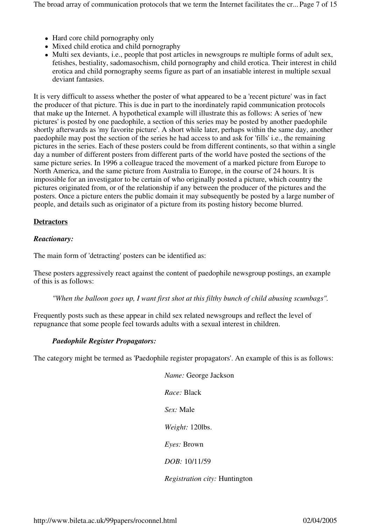The broad array of communication protocols that we term the Internet facilitates the cr... Page 7 of 15

- Hard core child pornography only
- Mixed child erotica and child pornography
- Multi sex deviants, i.e., people that post articles in newsgroups re multiple forms of adult sex, fetishes, bestiality, sadomasochism, child pornography and child erotica. Their interest in child erotica and child pornography seems figure as part of an insatiable interest in multiple sexual deviant fantasies.

It is very difficult to assess whether the poster of what appeared to be a 'recent picture' was in fact the producer of that picture. This is due in part to the inordinately rapid communication protocols that make up the Internet. A hypothetical example will illustrate this as follows: A series of 'new pictures' is posted by one paedophile, a section of this series may be posted by another paedophile shortly afterwards as 'my favorite picture'. A short while later, perhaps within the same day, another paedophile may post the section of the series he had access to and ask for 'fills' i.e., the remaining pictures in the series. Each of these posters could be from different continents, so that within a single day a number of different posters from different parts of the world have posted the sections of the same picture series. In 1996 a colleague traced the movement of a marked picture from Europe to North America, and the same picture from Australia to Europe, in the course of 24 hours. It is impossible for an investigator to be certain of who originally posted a picture, which country the pictures originated from, or of the relationship if any between the producer of the pictures and the posters. Once a picture enters the public domain it may subsequently be posted by a large number of people, and details such as originator of a picture from its posting history become blurred.

## **Detractors**

#### *Reactionary:*

The main form of 'detracting' posters can be identified as:

These posters aggressively react against the content of paedophile newsgroup postings, an example of this is as follows:

*"When the balloon goes up, I want first shot at this filthy bunch of child abusing scumbags".*

Frequently posts such as these appear in child sex related newsgroups and reflect the level of repugnance that some people feel towards adults with a sexual interest in children.

#### *Paedophile Register Propagators:*

The category might be termed as 'Paedophile register propagators'. An example of this is as follows:

| Name: George Jackson                 |
|--------------------------------------|
| <i>Race:</i> Black                   |
| <i>Sex:</i> Male                     |
| Weight: 120lbs.                      |
| <i>Eyes:</i> Brown                   |
| DOB: 10/11/59                        |
| <i>Registration city:</i> Huntington |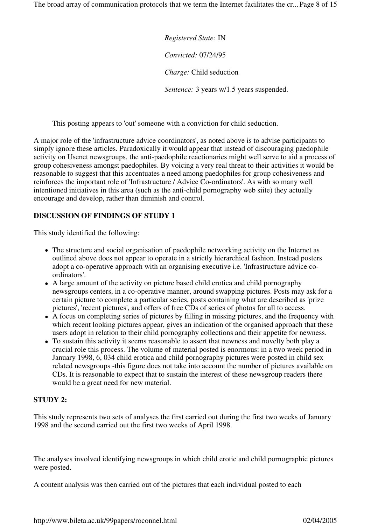The broad array of communication protocols that we term the Internet facilitates the cr... Page 8 of 15

*Registered State:* IN *Convicted:* 07/24/95 *Charge:* Child seduction *Sentence:* 3 years w/1.5 years suspended.

This posting appears to 'out' someone with a conviction for child seduction.

A major role of the 'infrastructure advice coordinators', as noted above is to advise participants to simply ignore these articles. Paradoxically it would appear that instead of discouraging paedophile activity on Usenet newsgroups, the anti-paedophile reactionaries might well serve to aid a process of group cohesiveness amongst paedophiles. By voicing a very real threat to their activities it would be reasonable to suggest that this accentuates a need among paedophiles for group cohesiveness and reinforces the important role of 'Infrastructure / Advice Co-ordinators'. As with so many well intentioned initiatives in this area (such as the anti-child pornography web siite) they actually encourage and develop, rather than diminish and control.

## **DISCUSSION OF FINDINGS OF STUDY 1**

This study identified the following:

- The structure and social organisation of paedophile networking activity on the Internet as outlined above does not appear to operate in a strictly hierarchical fashion. Instead posters adopt a co-operative approach with an organising executive i.e. 'Infrastructure advice coordinators'.
- A large amount of the activity on picture based child erotica and child pornography newsgroups centers, in a co-operative manner, around swapping pictures. Posts may ask for a certain picture to complete a particular series, posts containing what are described as 'prize pictures', 'recent pictures', and offers of free CDs of series of photos for all to access.
- A focus on completing series of pictures by filling in missing pictures, and the frequency with which recent looking pictures appear, gives an indication of the organised approach that these users adopt in relation to their child pornography collections and their appetite for newness.
- To sustain this activity it seems reasonable to assert that newness and novelty both play a crucial role this process. The volume of material posted is enormous: in a two week period in January 1998, 6, 034 child erotica and child pornography pictures were posted in child sex related newsgroups -this figure does not take into account the number of pictures available on CDs. It is reasonable to expect that to sustain the interest of these newsgroup readers there would be a great need for new material.

## **STUDY 2:**

This study represents two sets of analyses the first carried out during the first two weeks of January 1998 and the second carried out the first two weeks of April 1998.

The analyses involved identifying newsgroups in which child erotic and child pornographic pictures were posted.

A content analysis was then carried out of the pictures that each individual posted to each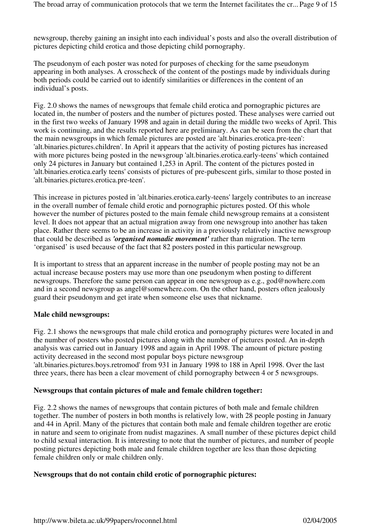newsgroup, thereby gaining an insight into each individual's posts and also the overall distribution of pictures depicting child erotica and those depicting child pornography.

The pseudonym of each poster was noted for purposes of checking for the same pseudonym appearing in both analyses. A crosscheck of the content of the postings made by individuals during both periods could be carried out to identify similarities or differences in the content of an individual's posts.

Fig. 2.0 shows the names of newsgroups that female child erotica and pornographic pictures are located in, the number of posters and the number of pictures posted. These analyses were carried out in the first two weeks of January 1998 and again in detail during the middle two weeks of April. This work is continuing, and the results reported here are preliminary. As can be seen from the chart that the main newsgroups in which female pictures are posted are 'alt.binaries.erotica.pre-teen': 'alt.binaries.pictures.children'. In April it appears that the activity of posting pictures has increased with more pictures being posted in the newsgroup 'alt.binaries.erotica.early-teens' which contained only 24 pictures in January but contained 1,253 in April. The content of the pictures posted in 'alt.binaries.erotica.early teens' consists of pictures of pre-pubescent girls, similar to those posted in 'alt.binaries.pictures.erotica.pre-teen'.

This increase in pictures posted in 'alt.binaries.erotica.early-teens' largely contributes to an increase in the overall number of female child erotic and pornographic pictures posted. Of this whole however the number of pictures posted to the main female child newsgroup remains at a consistent level. It does not appear that an actual migration away from one newsgroup into another has taken place. Rather there seems to be an increase in activity in a previously relatively inactive newsgroup that could be described as *'organised nomadic movement'* rather than migration. The term 'organised' is used because of the fact that 82 posters posted in this particular newsgroup.

It is important to stress that an apparent increase in the number of people posting may not be an actual increase because posters may use more than one pseudonym when posting to different newsgroups. Therefore the same person can appear in one newsgroup as e.g., god@nowhere.com and in a second newsgroup as angel@somewhere.com. On the other hand, posters often jealously guard their pseudonym and get irate when someone else uses that nickname.

#### **Male child newsgroups:**

Fig. 2.1 shows the newsgroups that male child erotica and pornography pictures were located in and the number of posters who posted pictures along with the number of pictures posted. An in-depth analysis was carried out in January 1998 and again in April 1998. The amount of picture posting activity decreased in the second most popular boys picture newsgroup 'alt.binaries.pictures.boys.retromod' from 931 in January 1998 to 188 in April 1998. Over the last three years, there has been a clear movement of child pornography between 4 or 5 newsgroups.

#### **Newsgroups that contain pictures of male and female children together:**

Fig. 2.2 shows the names of newsgroups that contain pictures of both male and female children together. The number of posters in both months is relatively low, with 28 people posting in January and 44 in April. Many of the pictures that contain both male and female children together are erotic in nature and seem to originate from nudist magazines. A small number of these pictures depict child to child sexual interaction. It is interesting to note that the number of pictures, and number of people posting pictures depicting both male and female children together are less than those depicting female children only or male children only.

#### **Newsgroups that do not contain child erotic of pornographic pictures:**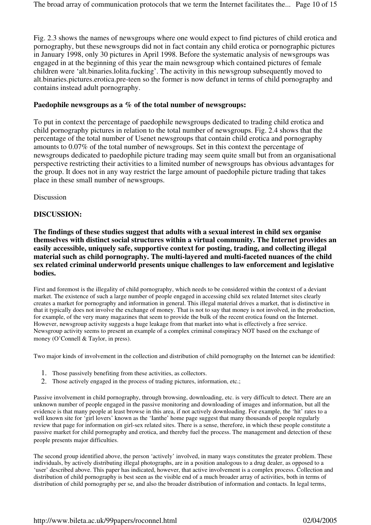Fig. 2.3 shows the names of newsgroups where one would expect to find pictures of child erotica and pornography, but these newsgroups did not in fact contain any child erotica or pornographic pictures in January 1998, only 30 pictures in April 1998. Before the systematic analysis of newsgroups was engaged in at the beginning of this year the main newsgroup which contained pictures of female children were 'alt.binaries.lolita.fucking'. The activity in this newsgroup subsequently moved to alt.binaries.pictures.erotica.pre-teen so the former is now defunct in terms of child pornography and contains instead adult pornography.

#### **Paedophile newsgroups as a % of the total number of newsgroups:**

To put in context the percentage of paedophile newsgroups dedicated to trading child erotica and child pornography pictures in relation to the total number of newsgroups. Fig. 2.4 shows that the percentage of the total number of Usenet newsgroups that contain child erotica and pornography amounts to 0.07% of the total number of newsgroups. Set in this context the percentage of newsgroups dedicated to paedophile picture trading may seem quite small but from an organisational perspective restricting their activities to a limited number of newsgroups has obvious advantages for the group. It does not in any way restrict the large amount of paedophile picture trading that takes place in these small number of newsgroups.

Discussion

#### **DISCUSSION:**

**The findings of these studies suggest that adults with a sexual interest in child sex organise themselves with distinct social structures within a virtual community. The Internet provides an easily accessible, uniquely safe, supportive context for posting, trading, and collecting illegal material such as child pornography. The multi-layered and multi-faceted nuances of the child sex related criminal underworld presents unique challenges to law enforcement and legislative bodies.**

First and foremost is the illegality of child pornography, which needs to be considered within the context of a deviant market. The existence of such a large number of people engaged in accessing child sex related Internet sites clearly creates a market for pornography and information in general. This illegal material drives a market, that is distinctive in that it typically does not involve the exchange of money. That is not to say that money is not involved, in the production, for example, of the very many magazines that seem to provide the bulk of the recent erotica found on the Internet. However, newsgroup activity suggests a huge leakage from that market into what is effectively a free service. Newsgroup activity seems to present an example of a complex criminal conspiracy NOT based on the exchange of money (O'Connell & Taylor, in press).

Two major kinds of involvement in the collection and distribution of child pornography on the Internet can be identified:

- 1. Those passively benefiting from these activities, as collectors.
- 2. Those actively engaged in the process of trading pictures, information, etc.;

Passive involvement in child pornography, through browsing, downloading, etc. is very difficult to detect. There are an unknown number of people engaged in the passive monitoring and downloading of images and information, but all the evidence is that many people at least browse in this area, if not actively downloading. For example, the 'hit' rates to a well known site for 'girl lovers' known as the 'Ianthe' home page suggest that many thousands of people regularly review that page for information on girl-sex related sites. There is a sense, therefore, in which these people constitute a passive market for child pornography and erotica, and thereby fuel the process. The management and detection of these people presents major difficulties.

The second group identified above, the person 'actively' involved, in many ways constitutes the greater problem. These individuals, by actively distributing illegal photographs, are in a position analogous to a drug dealer, as opposed to a 'user' described above. This paper has indicated, however, that active involvement is a complex process. Collection and distribution of child pornography is best seen as the visible end of a much broader array of activities, both in terms of distribution of child pornography per se, and also the broader distribution of information and contacts. In legal terms,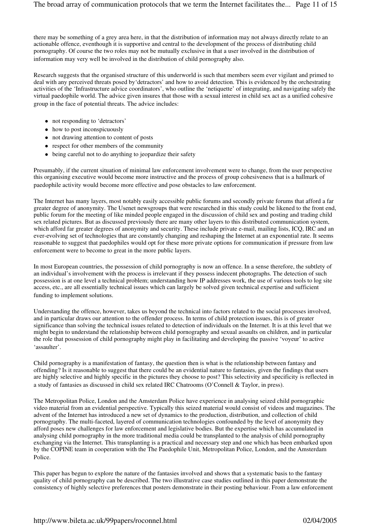there may be something of a grey area here, in that the distribution of information may not always directly relate to an actionable offence, eventhough it is supportive and central to the development of the process of distributing child pornography. Of course the two roles may not be mutually exclusive in that a user involved in the distribution of information may very well be involved in the distribution of child pornography also.

Research suggests that the organised structure of this underworld is such that members seem ever vigilant and primed to deal with any perceived threats posed by'detractors' and how to avoid detection. This is evidenced by the orchestrating activities of the 'Infrastructure advice coordinators', who outline the 'netiquette' of integrating, and navigating safely the virtual paedophile world. The advice given insures that those with a sexual interest in child sex act as a unified cohesive group in the face of potential threats. The advice includes:

- not responding to 'detractors'
- how to post inconspicuously
- not drawing attention to content of posts
- respect for other members of the community
- being careful not to do anything to jeopardize their safety

Presumably, if the current situation of minimal law enforcement involvement were to change, from the user perspective this organising executive would become more instructive and the process of group cohesiveness that is a hallmark of paedophile activity would become more effective and pose obstacles to law enforcement.

The Internet has many layers, most notably easily accessible public forums and secondly private forums that afford a far greater degree of anonymity. The Usenet newsgroups that were researched in this study could be likened to the front end, public forum for the meeting of like minded people engaged in the discussion of child sex and posting and trading child sex related pictures. But as discussed previously there are many other layers to this distributed communication system, which afford far greater degrees of anonymity and security. These include private e-mail, mailing lists, ICQ, IRC and an ever-evolving set of technologies that are constantly changing and reshaping the Internet at an exponential rate. It seems reasonable to suggest that paedophiles would opt for these more private options for communication if pressure from law enforcement were to become to great in the more public layers.

In most European countries, the possession of child pornography is now an offence. In a sense therefore, the subtlety of an individual's involvement with the process is irrelevant if they possess indecent photographs. The detection of such possession is at one level a technical problem; understanding how IP addresses work, the use of various tools to log site access, etc., are all essentially technical issues which can largely be solved given technical expertise and sufficient funding to implement solutions.

Understanding the offence, however, takes us beyond the technical into factors related to the social processes involved, and in particular draws our attention to the offender process. In terms of child protection issues, this is of greater significance than solving the technical issues related to detection of individuals on the Internet. It is at this level that we might begin to understand the relationship between child pornography and sexual assaults on children, and in particular the role that possession of child pornography might play in facilitating and developing the passive 'voyeur' to active 'assaulter'.

Child pornography is a manifestation of fantasy, the question then is what is the relationship between fantasy and offending? Is it reasonable to suggest that there could be an evidential nature to fantasies, given the findings that users are highly selective and highly specific in the pictures they choose to post? This selectivity and specificity is reflected in a study of fantasies as discussed in child sex related IRC Chatrooms (O'Connell & Taylor, in press).

The Metropolitan Police, London and the Amsterdam Police have experience in analysing seized child pornographic video material from an evidential perspective. Typically this seized material would consist of videos and magazines. The advent of the Internet has introduced a new set of dynamics to the production, distribution, and collection of child pornography. The multi-faceted, layered of communication technologies confounded by the level of anonymity they afford poses new challenges for law enforcement and legislative bodies. But the expertise which has accumulated in analysing child pornography in the more traditional media could be transplanted to the analysis of child pornography exchanging via the Internet. This transplanting is a practical and necessary step and one which has been embarked upon by the COPINE team in cooperation with the The Paedophile Unit, Metropolitan Police, London, and the Amsterdam Police.

This paper has begun to explore the nature of the fantasies involved and shows that a systematic basis to the fantasy quality of child pornography can be described. The two illustrative case studies outlined in this paper demonstrate the consistency of highly selective preferences that posters demonstrate in their posting behaviour. From a law enforcement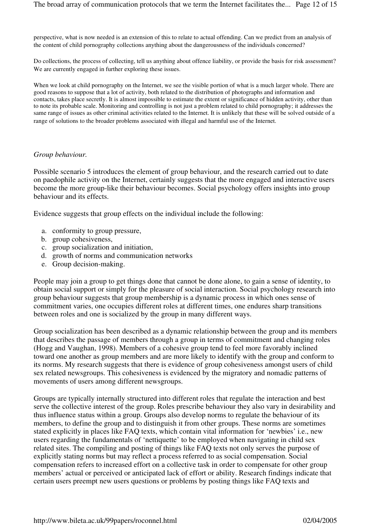perspective, what is now needed is an extension of this to relate to actual offending. Can we predict from an analysis of the content of child pornography collections anything about the dangerousness of the individuals concerned?

Do collections, the process of collecting, tell us anything about offence liability, or provide the basis for risk assessment? We are currently engaged in further exploring these issues.

When we look at child pornography on the Internet, we see the visible portion of what is a much larger whole. There are good reasons to suppose that a lot of activity, both related to the distribution of photographs and information and contacts, takes place secretly. It is almost impossible to estimate the extent or significance of hidden activity, other than to note its probable scale. Monitoring and controlling is not just a problem related to child pornography; it addresses the same range of issues as other criminal activities related to the Internet. It is unlikely that these will be solved outside of a range of solutions to the broader problems associated with illegal and harmful use of the Internet.

#### *Group behaviour.*

Possible scenario 5 introduces the element of group behaviour, and the research carried out to date on paedophile activity on the Internet, certainly suggests that the more engaged and interactive users become the more group-like their behaviour becomes. Social psychology offers insights into group behaviour and its effects.

Evidence suggests that group effects on the individual include the following:

- a. conformity to group pressure,
- b. group cohesiveness,
- c. group socialization and initiation,
- d. growth of norms and communication networks
- e. Group decision-making.

People may join a group to get things done that cannot be done alone, to gain a sense of identity, to obtain social support or simply for the pleasure of social interaction. Social psychology research into group behaviour suggests that group membership is a dynamic process in which ones sense of commitment varies, one occupies different roles at different times, one endures sharp transitions between roles and one is socialized by the group in many different ways.

Group socialization has been described as a dynamic relationship between the group and its members that describes the passage of members through a group in terms of commitment and changing roles (Hogg and Vaughan, 1998). Members of a cohesive group tend to feel more favorably inclined toward one another as group members and are more likely to identify with the group and conform to its norms. My research suggests that there is evidence of group cohesiveness amongst users of child sex related newsgroups. This cohesiveness is evidenced by the migratory and nomadic patterns of movements of users among different newsgroups.

Groups are typically internally structured into different roles that regulate the interaction and best serve the collective interest of the group. Roles prescribe behaviour they also vary in desirability and thus influence status within a group. Groups also develop norms to regulate the behaviour of its members, to define the group and to distinguish it from other groups. These norms are sometimes stated explicitly in places like FAQ texts, which contain vital information for 'newbies' i.e., new users regarding the fundamentals of 'nettiquette' to be employed when navigating in child sex related sites. The compiling and posting of things like FAQ texts not only serves the purpose of explicitly stating norms but may reflect a process referred to as social compensation. Social compensation refers to increased effort on a collective task in order to compensate for other group members' actual or perceived or anticipated lack of effort or ability. Research findings indicate that certain users preempt new users questions or problems by posting things like FAQ texts and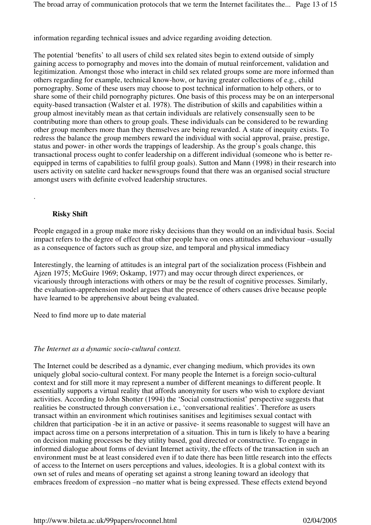information regarding technical issues and advice regarding avoiding detection.

The potential 'benefits' to all users of child sex related sites begin to extend outside of simply gaining access to pornography and moves into the domain of mutual reinforcement, validation and legitimization. Amongst those who interact in child sex related groups some are more informed than others regarding for example, technical know-how, or having greater collections of e.g., child pornography. Some of these users may choose to post technical information to help others, or to share some of their child pornography pictures. One basis of this process may be on an interpersonal equity-based transaction (Walster et al. 1978). The distribution of skills and capabilities within a group almost inevitably mean as that certain individuals are relatively consensually seen to be contributing more than others to group goals. These individuals can be considered to be rewarding other group members more than they themselves are being rewarded. A state of inequity exists. To redress the balance the group members reward the individual with social approval, praise, prestige, status and power- in other words the trappings of leadership. As the group's goals change, this transactional process ought to confer leadership on a different individual (someone who is better reequipped in terms of capabilities to fulfil group goals). Sutton and Mann (1998) in their research into users activity on satelite card hacker newsgroups found that there was an organised social structure amongst users with definite evolved leadership structures.

## **Risky Shift**

.

People engaged in a group make more risky decisions than they would on an individual basis. Social impact refers to the degree of effect that other people have on ones attitudes and behaviour –usually as a consequence of factors such as group size, and temporal and physical immediacy

Interestingly, the learning of attitudes is an integral part of the socialization process (Fishbein and Ajzen 1975; McGuire 1969; Oskamp, 1977) and may occur through direct experiences, or vicariously through interactions with others or may be the result of cognitive processes. Similarly, the evaluation-apprehension model argues that the presence of others causes drive because people have learned to be apprehensive about being evaluated.

Need to find more up to date material

#### *The Internet as a dynamic socio-cultural context.*

The Internet could be described as a dynamic, ever changing medium, which provides its own uniquely global socio-cultural context. For many people the Internet is a foreign socio-cultural context and for still more it may represent a number of different meanings to different people. It essentially supports a virtual reality that affords anonymity for users who wish to explore deviant activities. According to John Shotter (1994) the 'Social constructionist' perspective suggests that realities be constructed through conversation i.e., 'conversational realities'. Therefore as users transact within an environment which routinises sanitises and legitimises sexual contact with children that participation -be it in an active or passive- it seems reasonable to suggest will have an impact across time on a persons interpretation of a situation. This in turn is likely to have a bearing on decision making processes be they utility based, goal directed or constructive. To engage in informed dialogue about forms of deviant Internet activity, the effects of the transaction in such an environment must be at least considered even if to date there has been little research into the effects of access to the Internet on users perceptions and values, ideologies. It is a global context with its own set of rules and means of operating set against a strong leaning toward an ideology that embraces freedom of expression –no matter what is being expressed. These effects extend beyond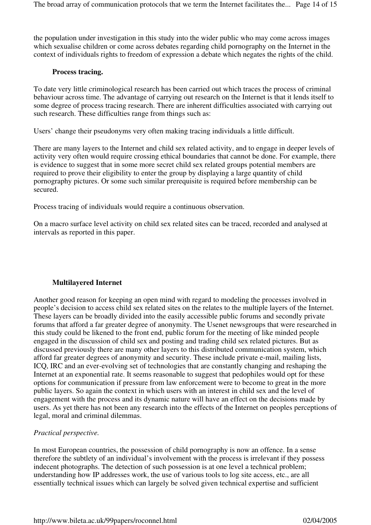the population under investigation in this study into the wider public who may come across images which sexualise children or come across debates regarding child pornography on the Internet in the context of individuals rights to freedom of expression a debate which negates the rights of the child.

## **Process tracing.**

To date very little criminological research has been carried out which traces the process of criminal behaviour across time. The advantage of carrying out research on the Internet is that it lends itself to some degree of process tracing research. There are inherent difficulties associated with carrying out such research. These difficulties range from things such as:

Users' change their pseudonyms very often making tracing individuals a little difficult.

There are many layers to the Internet and child sex related activity, and to engage in deeper levels of activity very often would require crossing ethical boundaries that cannot be done. For example, there is evidence to suggest that in some more secret child sex related groups potential members are required to prove their eligibility to enter the group by displaying a large quantity of child pornography pictures. Or some such similar prerequisite is required before membership can be secured.

Process tracing of individuals would require a continuous observation.

On a macro surface level activity on child sex related sites can be traced, recorded and analysed at intervals as reported in this paper.

## **Multilayered Internet**

Another good reason for keeping an open mind with regard to modeling the processes involved in people's decision to access child sex related sites on the relates to the multiple layers of the Internet. These layers can be broadly divided into the easily accessible public forums and secondly private forums that afford a far greater degree of anonymity. The Usenet newsgroups that were researched in this study could be likened to the front end, public forum for the meeting of like minded people engaged in the discussion of child sex and posting and trading child sex related pictures. But as discussed previously there are many other layers to this distributed communication system, which afford far greater degrees of anonymity and security. These include private e-mail, mailing lists, ICQ, IRC and an ever-evolving set of technologies that are constantly changing and reshaping the Internet at an exponential rate. It seems reasonable to suggest that pedophiles would opt for these options for communication if pressure from law enforcement were to become to great in the more public layers. So again the context in which users with an interest in child sex and the level of engagement with the process and its dynamic nature will have an effect on the decisions made by users. As yet there has not been any research into the effects of the Internet on peoples perceptions of legal, moral and criminal dilemmas.

#### *Practical perspective.*

In most European countries, the possession of child pornography is now an offence. In a sense therefore the subtlety of an individual's involvement with the process is irrelevant if they possess indecent photographs. The detection of such possession is at one level a technical problem; understanding how IP addresses work, the use of various tools to log site access, etc., are all essentially technical issues which can largely be solved given technical expertise and sufficient